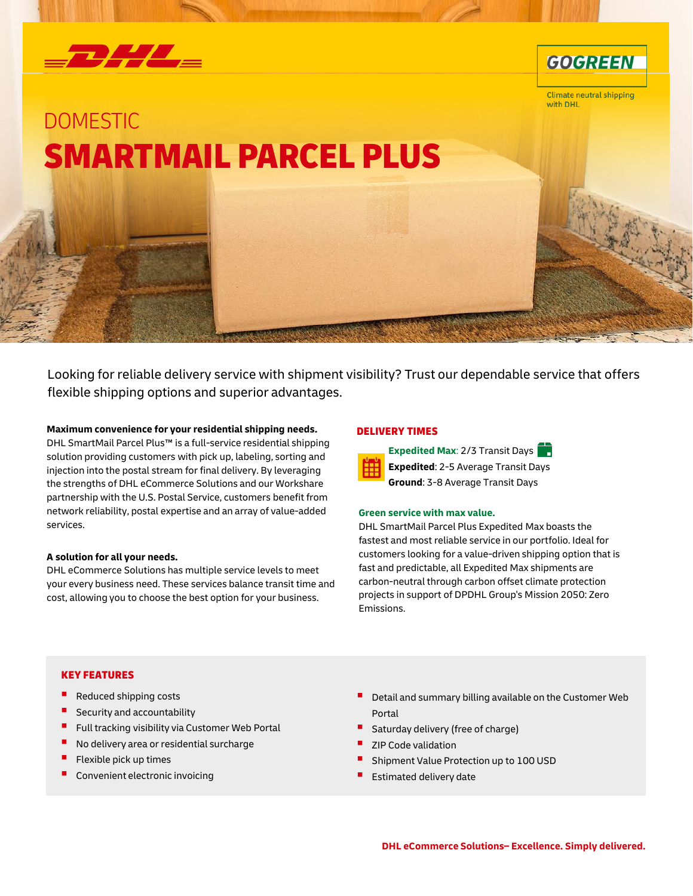



**Climate neutral shipping** with DHL

# DOMESTIC SMARTMAIL PARCEL PLUS

Looking for reliable delivery service with shipment visibility? Trust our dependable service that offers flexible shipping options and superior advantages.

### **Maximum convenience for your residential shipping needs.**

DHL SmartMail Parcel Plus™ is a full-service residential shipping solution providing customers with pick up, labeling, sorting and injection into the postal stream for final delivery. By leveraging the strengths of DHL eCommerce Solutions and our Workshare partnership with the U.S. Postal Service, customers benefit from network reliability, postal expertise and an array of value-added services.

### **A solution for all your needs.**

DHL eCommerce Solutions has multiple service levels to meet your every business need. These services balance transit time and cost, allowing you to choose the best option for your business.

### DELIVERY TIMES



**Expedited Max**: 2/3 Transit Days **Expedited**: 2-5 Average Transit Days **Ground**: 3-8 Average Transit Days

### **Green service with max value.**

DHL SmartMail Parcel Plus Expedited Max boasts the fastest and most reliable service in our portfolio. Ideal for customers looking for a value-driven shipping option that is fast and predictable, all Expedited Max shipments are carbon-neutral through carbon offset climate protection projects in support of DPDHL Group's Mission 2050: Zero Emissions.

### KEY FEATURES

- Reduced shipping costs
- Security and accountability
- Full tracking visibility via Customer Web Portal
- No delivery area or residential surcharge
- Flexible pick up times
- Convenient electronic invoicing
- Detail and summary billing available on the Customer Web Portal
- Saturday delivery (free of charge)
- ZIP Code validation
- Shipment Value Protection up to 100 USD
- Estimated delivery date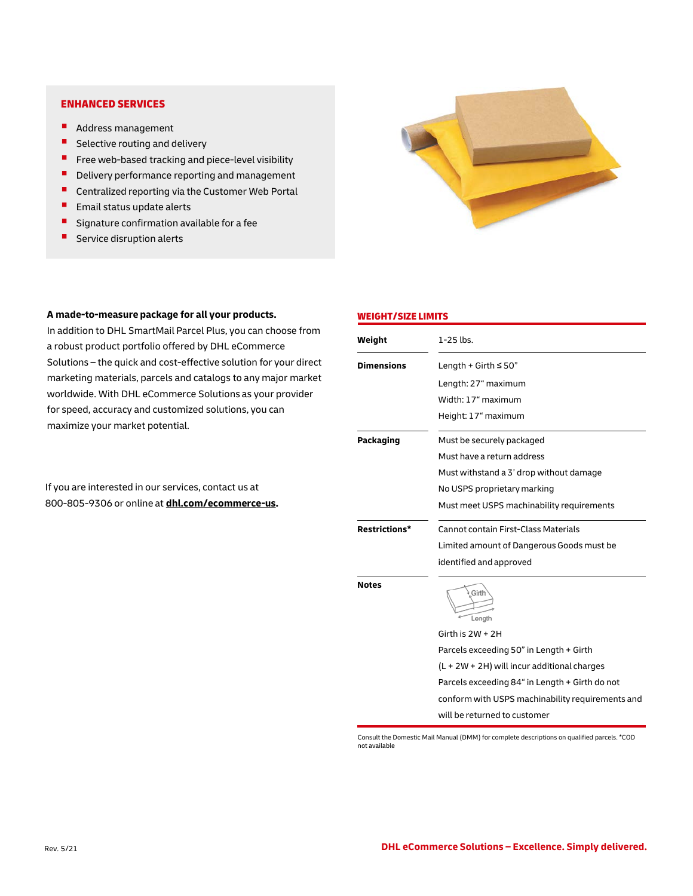### ENHANCED SERVICES

- **Address management**
- $\blacksquare$  Selective routing and delivery
- $\blacksquare$  Free web-based tracking and piece-level visibility
- Delivery performance reporting and management
- **E** Centralized reporting via the Customer Web Portal
- $\blacksquare$  Email status update alerts
- **Signature confirmation available for a fee**
- $\blacksquare$  Service disruption alerts

## **A made-to-measure package for all your products.**

In addition to DHL SmartMail Parcel Plus, you can choose from a robust product portfolio offered by DHL eCommerce Solutions – the quick and cost-effective solution for your direct marketing materials, parcels and catalogs to any major market worldwide. With DHL eCommerce Solutions as your provider for speed, accuracy and customized solutions, you can maximize your market potential.

If you are interested in our services, contact us at 800-805-9306 or online at **[dhl.com/ecommerce-us.](https://www.dhl.com/ecommerce-us)**



### WEIGHT/SIZE LIMITS

| Weight               | $1-25$ lbs.                                      |
|----------------------|--------------------------------------------------|
| <b>Dimensions</b>    | Length + Girth $\leq$ 50"                        |
|                      | Length: 27" maximum                              |
|                      | Width: 17" maximum                               |
|                      | Height: 17" maximum                              |
| Packaging            | Must be securely packaged                        |
|                      | Must have a return address                       |
|                      | Must withstand a 3' drop without damage          |
|                      | No USPS proprietary marking                      |
|                      | Must meet USPS machinability requirements        |
| <b>Restrictions*</b> | Cannot contain First-Class Materials             |
|                      | Limited amount of Dangerous Goods must be        |
|                      | identified and approved                          |
| <b>Notes</b>         | Girth<br>Length                                  |
|                      | Girth is $2W + 2H$                               |
|                      | Parcels exceeding 50" in Length + Girth          |
|                      | $(L + 2W + 2H)$ will incur additional charges    |
|                      | Parcels exceeding 84" in Length + Girth do not   |
|                      | conform with USPS machinability requirements and |
|                      | will be returned to customer                     |

Consult the Domestic Mail Manual (DMM) for complete descriptions on qualified parcels. \*COD not available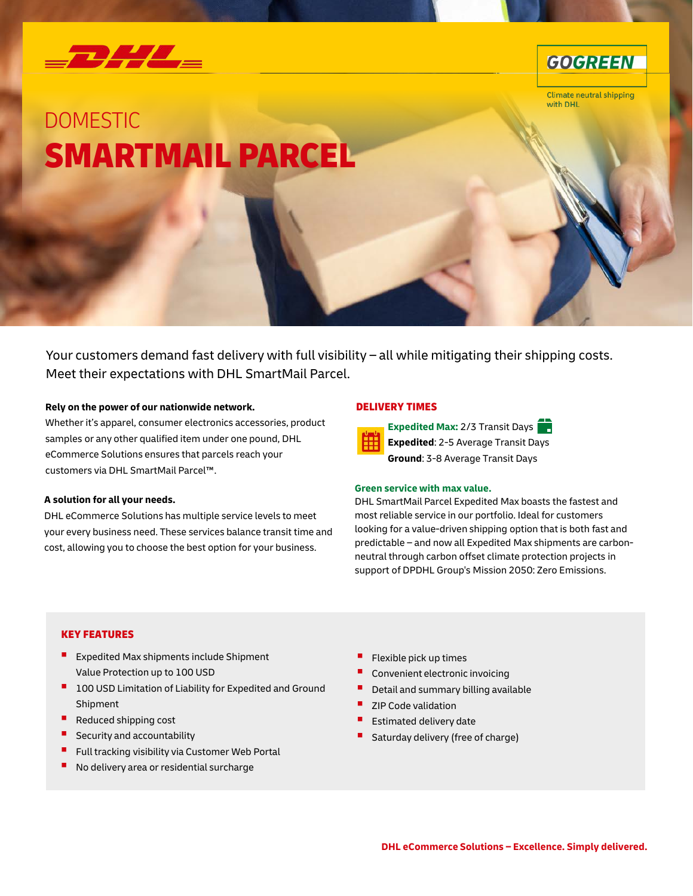



**Climate neutral shipping** with DHL

# DOMESTIC SMARTMAIL PARCEL

Your customers demand fast delivery with full visibility – all while mitigating their shipping costs. Meet their expectations with DHL SmartMail Parcel.

### **Rely on the power of our nationwide network.**

Whether it's apparel, consumer electronics accessories, product samples or any other qualified item under one pound, DHL eCommerce Solutions ensures that parcels reach your customers via DHL SmartMail Parcel™.

### **A solution for all your needs.**

DHL eCommerce Solutions has multiple service levels to meet your every business need. These services balance transit time and cost, allowing you to choose the best option for your business.

### DELIVERY TIMES



**Expedited Max:** 2/3 Transit Days **Expedited**: 2-5 Average Transit Days **Ground**: 3-8 Average Transit Days

### **Green service with max value.**

DHL SmartMail Parcel Expedited Max boasts the fastest and most reliable service in our portfolio. Ideal for customers looking for a value-driven shipping option that is both fast and predictable – and now all Expedited Max shipments are carbonneutral through carbon offset climate protection projects in support of DPDHL Group's Mission 2050: Zero Emissions.

# KEY FEATURES

- **Expedited Max shipments include Shipment** Value Protection up to 100 USD
- **100 USD Limitation of Liability for Expedited and Ground** Shipment
- Reduced shipping cost
- Security and accountability
- Full tracking visibility via Customer Web Portal
- No delivery area or residential surcharge
- Flexible pick up times
- Convenient electronic invoicing
- Detail and summary billing available
- ZIP Code validation
- Estimated delivery date
- Saturday delivery (free of charge)